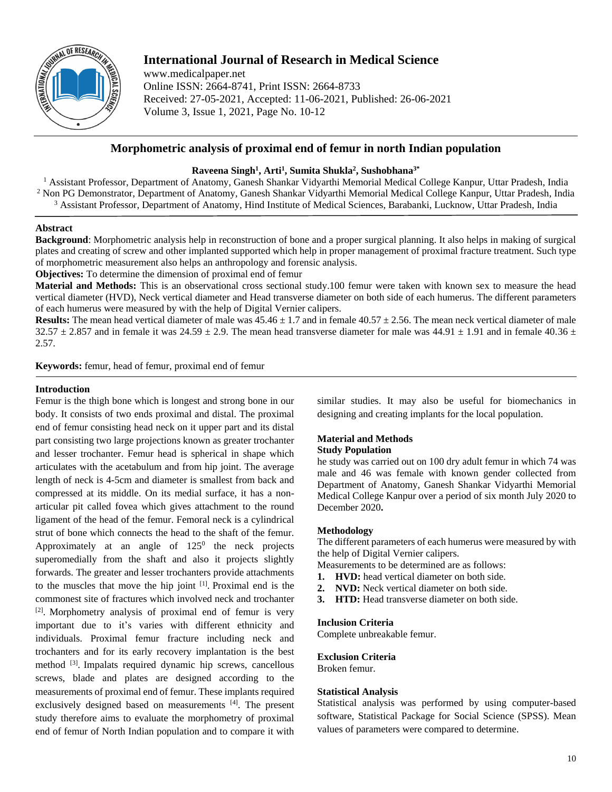

# **International Journal of Research in Medical Science**

www.medicalpaper.net Online ISSN: 2664-8741, Print ISSN: 2664-8733 Received: 27-05-2021, Accepted: 11-06-2021, Published: 26-06-2021 Volume 3, Issue 1, 2021, Page No. 10-12

## **Morphometric analysis of proximal end of femur in north Indian population**

## **Raveena Singh<sup>1</sup> , Arti<sup>1</sup> , Sumita Shukla<sup>2</sup> , Sushobhana3\***

<sup>1</sup> Assistant Professor, Department of Anatomy, Ganesh Shankar Vidyarthi Memorial Medical College Kanpur, Uttar Pradesh, India <sup>2</sup> Non PG Demonstrator, Department of Anatomy, Ganesh Shankar Vidyarthi Memorial Medical College Kanpur, Uttar Pradesh, India <sup>3</sup> Assistant Professor, Department of Anatomy, Hind Institute of Medical Sciences, Barabanki, Lucknow, Uttar Pradesh, India

### **Abstract**

**Background**: Morphometric analysis help in reconstruction of bone and a proper surgical planning. It also helps in making of surgical plates and creating of screw and other implanted supported which help in proper management of proximal fracture treatment. Such type of morphometric measurement also helps an anthropology and forensic analysis.

**Objectives:** To determine the dimension of proximal end of femur

**Material and Methods:** This is an observational cross sectional study.100 femur were taken with known sex to measure the head vertical diameter (HVD), Neck vertical diameter and Head transverse diameter on both side of each humerus. The different parameters of each humerus were measured by with the help of Digital Vernier calipers.

**Results:** The mean head vertical diameter of male was  $45.46 \pm 1.7$  and in female  $40.57 \pm 2.56$ . The mean neck vertical diameter of male  $32.57 \pm 2.857$  and in female it was  $24.59 \pm 2.9$ . The mean head transverse diameter for male was  $44.91 \pm 1.91$  and in female  $40.36 \pm 1.91$ 2.57.

**Keywords:** femur, head of femur, proximal end of femur

## **Introduction**

Femur is the thigh bone which is longest and strong bone in our body. It consists of two ends proximal and distal. The proximal end of femur consisting head neck on it upper part and its distal part consisting two large projections known as greater trochanter and lesser trochanter. Femur head is spherical in shape which articulates with the acetabulum and from hip joint. The average length of neck is 4-5cm and diameter is smallest from back and compressed at its middle. On its medial surface, it has a nonarticular pit called fovea which gives attachment to the round ligament of the head of the femur. Femoral neck is a cylindrical strut of bone which connects the head to the shaft of the femur. Approximately at an angle of  $125<sup>0</sup>$  the neck projects superomedially from the shaft and also it projects slightly forwards. The greater and lesser trochanters provide attachments to the muscles that move the hip joint [1]. Proximal end is the commonest site of fractures which involved neck and trochanter [2] . Morphometry analysis of proximal end of femur is very important due to it's varies with different ethnicity and individuals. Proximal femur fracture including neck and trochanters and for its early recovery implantation is the best method <sup>[3]</sup>. Impalats required dynamic hip screws, cancellous screws, blade and plates are designed according to the measurements of proximal end of femur. These implants required exclusively designed based on measurements [4]. The present study therefore aims to evaluate the morphometry of proximal end of femur of North Indian population and to compare it with

similar studies. It may also be useful for biomechanics in designing and creating implants for the local population.

#### **Material and Methods Study Population**

he study was carried out on 100 dry adult femur in which 74 was male and 46 was female with known gender collected from Department of Anatomy, Ganesh Shankar Vidyarthi Memorial Medical College Kanpur over a period of six month July 2020 to December 2020**.**

## **Methodology**

The different parameters of each humerus were measured by with the help of Digital Vernier calipers.

Measurements to be determined are as follows:

- **1. HVD:** head vertical diameter on both side.
- **2. NVD:** Neck vertical diameter on both side.
- **3. HTD:** Head transverse diameter on both side.

#### **Inclusion Criteria**

Complete unbreakable femur.

### **Exclusion Criteria**

Broken femur.

#### **Statistical Analysis**

Statistical analysis was performed by using computer-based software, Statistical Package for Social Science (SPSS). Mean values of parameters were compared to determine.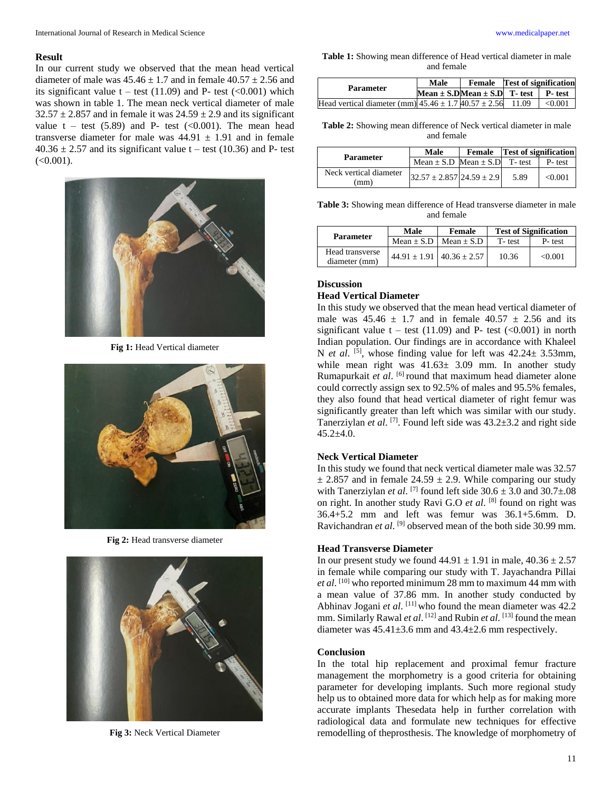#### **Result**

In our current study we observed that the mean head vertical diameter of male was  $45.46 \pm 1.7$  and in female  $40.57 \pm 2.56$  and its significant value  $t - \text{test}$  (11.09) and P- test (<0.001) which was shown in table 1. The mean neck vertical diameter of male  $32.57 \pm 2.857$  and in female it was  $24.59 \pm 2.9$  and its significant value  $t - \text{test}$  (5.89) and P- test (<0.001). The mean head transverse diameter for male was  $44.91 \pm 1.91$  and in female  $40.36 \pm 2.57$  and its significant value t – test (10.36) and P- test  $(<0.001$ ).



**Fig 1:** Head Vertical diameter



**Fig 2:** Head transverse diameter



**Fig 3:** Neck Vertical Diameter

**Table 1:** Showing mean difference of Head vertical diameter in male and female

| <b>Parameter</b>                                                             | Male |                                                | <b>Female</b> Test of signification |  |
|------------------------------------------------------------------------------|------|------------------------------------------------|-------------------------------------|--|
|                                                                              |      | Mean $\pm$ S.DMean $\pm$ S.D T- test P- test 1 |                                     |  |
| Head vertical diameter (mm) $45.46 \pm 1.740.57 \pm 2.56$ 11.09 $\sim 0.001$ |      |                                                |                                     |  |

**Table 2:** Showing mean difference of Neck vertical diameter in male and female

| <b>Parameter</b>               | Male                                   | <b>Female Test of signification</b> |        |
|--------------------------------|----------------------------------------|-------------------------------------|--------|
|                                | Mean $\pm$ S.D Mean $\pm$ S.D T- test  |                                     | P-test |
| Neck vertical diameter<br>(mm) | $32.57 \pm 2.857 \,   24.59 \pm 2.9  $ | 5.89                                | <0.001 |

**Table 3:** Showing mean difference of Head transverse diameter in male and female

| <b>Parameter</b>                 | Male                              | Female       | <b>Test of Signification</b> |         |
|----------------------------------|-----------------------------------|--------------|------------------------------|---------|
|                                  | $Mean + S.D$                      | $Mean + S.D$ | T-test                       | P-test  |
| Head transverse<br>diameter (mm) | $44.91 \pm 1.91$ $40.36 \pm 2.57$ |              | 10.36                        | < 0.001 |

#### **Discussion**

### **Head Vertical Diameter**

In this study we observed that the mean head vertical diameter of male was  $45.46 \pm 1.7$  and in female  $40.57 \pm 2.56$  and its significant value  $t - \text{test}$  (11.09) and P- test (<0.001) in north Indian population. Our findings are in accordance with Khaleel N *et al.* <sup>[5]</sup>, whose finding value for left was  $42.24 \pm 3.53$ mm, while mean right was  $41.63 \pm 3.09$  mm. In another study Rumapurkait et al. <sup>[6]</sup> round that maximum head diameter alone could correctly assign sex to 92.5% of males and 95.5% females, they also found that head vertical diameter of right femur was significantly greater than left which was similar with our study. Tanerziylan et al.<sup>[7]</sup>. Found left side was 43.2±3.2 and right side  $45.2+4.0.$ 

#### **Neck Vertical Diameter**

In this study we found that neck vertical diameter male was 32.57  $\pm$  2.857 and in female 24.59  $\pm$  2.9. While comparing our study with Tanerziylan *et al.* <sup>[7]</sup> found left side  $30.6 \pm 3.0$  and  $30.7 \pm .08$ on right. In another study Ravi G.O *et al*. <sup>[8]</sup> found on right was 36.4+5.2 mm and left was femur was 36.1+5.6mm. D. Ravichandran et al.<sup>[9]</sup> observed mean of the both side 30.99 mm.

#### **Head Transverse Diameter**

In our present study we found  $44.91 \pm 1.91$  in male,  $40.36 \pm 2.57$ in female while comparing our study with T. Jayachandra Pillai *et al*. [10] who reported minimum 28 mm to maximum 44 mm with a mean value of 37.86 mm. In another study conducted by Abhinav Jogani *et al.* <sup>[11]</sup> who found the mean diameter was 42.2 mm. Similarly Rawal *et al.* <sup>[12]</sup> and Rubin *et al.* <sup>[13]</sup> found the mean diameter was  $45.41 \pm 3.6$  mm and  $43.4 \pm 2.6$  mm respectively.

#### **Conclusion**

In the total hip replacement and proximal femur fracture management the morphometry is a good criteria for obtaining parameter for developing implants. Such more regional study help us to obtained more data for which help as for making more accurate implants Thesedata help in further correlation with radiological data and formulate new techniques for effective remodelling of theprosthesis. The knowledge of morphometry of